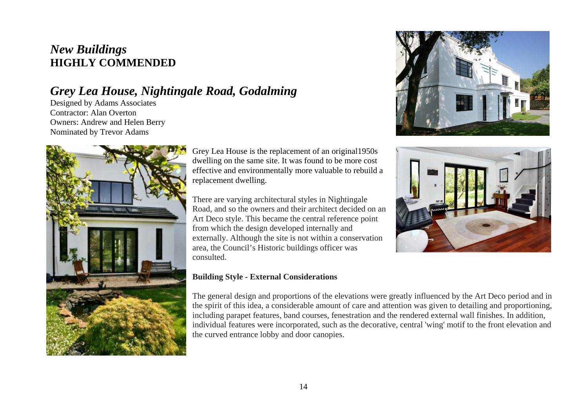## *New Buildings*  **HIGHLY COMMENDED**

# *Grey Lea House, Nightingale Road, Godalming*

Designed by Adams Associates Contractor: Alan Overton Owners: Andrew and Helen Berry Nominated by Trevor Adams



Grey Lea House is the replacement of an original1950s dwelling on the same site. It was found to be more cost effective and environmentally more valuable to rebuild a replacement dwelling.

There are varying architectural styles in Nightingale Road, and so the owners and their architect decided on an Art Deco style. This became the central reference point from which the design developed internally and externally. Although the site is not within a conservation area, the Council's Historic buildings officer was consulted.

#### **Building Style - External Considerations**

The general design and proportions of the elevations were greatly influenced by the Art Deco period and in the spirit of this idea, a considerable amount of care and attention was given to detailing and proportioning, including parapet features, band courses, fenestration and the rendered external wall finishes. In addition, individual features were incorporated, such as the decorative, central 'wing' motif to the front elevation and the curved entrance lobby and door canopies.